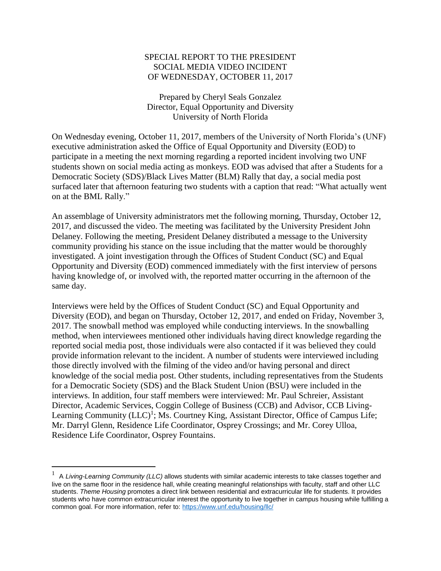## SPECIAL REPORT TO THE PRESIDENT SOCIAL MEDIA VIDEO INCIDENT OF WEDNESDAY, OCTOBER 11, 2017

Prepared by Cheryl Seals Gonzalez Director, Equal Opportunity and Diversity University of North Florida

On Wednesday evening, October 11, 2017, members of the University of North Florida's (UNF) executive administration asked the Office of Equal Opportunity and Diversity (EOD) to participate in a meeting the next morning regarding a reported incident involving two UNF students shown on social media acting as monkeys. EOD was advised that after a Students for a Democratic Society (SDS)/Black Lives Matter (BLM) Rally that day, a social media post surfaced later that afternoon featuring two students with a caption that read: "What actually went on at the BML Rally."

An assemblage of University administrators met the following morning, Thursday, October 12, 2017, and discussed the video. The meeting was facilitated by the University President John Delaney. Following the meeting, President Delaney distributed a message to the University community providing his stance on the issue including that the matter would be thoroughly investigated. A joint investigation through the Offices of Student Conduct (SC) and Equal Opportunity and Diversity (EOD) commenced immediately with the first interview of persons having knowledge of, or involved with, the reported matter occurring in the afternoon of the same day.

Interviews were held by the Offices of Student Conduct (SC) and Equal Opportunity and Diversity (EOD), and began on Thursday, October 12, 2017, and ended on Friday, November 3, 2017. The snowball method was employed while conducting interviews. In the snowballing method, when interviewees mentioned other individuals having direct knowledge regarding the reported social media post, those individuals were also contacted if it was believed they could provide information relevant to the incident. A number of students were interviewed including those directly involved with the filming of the video and/or having personal and direct knowledge of the social media post. Other students, including representatives from the Students for a Democratic Society (SDS) and the Black Student Union (BSU) were included in the interviews. In addition, four staff members were interviewed: Mr. Paul Schreier, Assistant Director, Academic Services, Coggin College of Business (CCB) and Advisor, CCB Living-Learning Community (LLC)<sup>1</sup>; Ms. Courtney King, Assistant Director, Office of Campus Life; Mr. Darryl Glenn, Residence Life Coordinator, Osprey Crossings; and Mr. Corey Ulloa, Residence Life Coordinator, Osprey Fountains.

 $\overline{\phantom{a}}$ 

<sup>1</sup> A *Living-Learning Community (LLC)* allows students with similar academic interests to take classes together and live on the same floor in the residence hall, while creating meaningful relationships with faculty, staff and other LLC students. *Theme Housing* promotes a direct link between residential and extracurricular life for students. It provides students who have common extracurricular interest the opportunity to live together in campus housing while fulfilling a common goal. For more information, refer to: <https://www.unf.edu/housing/llc/>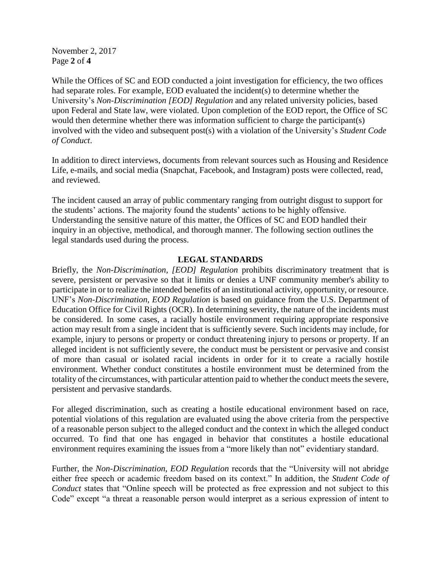November 2, 2017 Page **2** of **4**

While the Offices of SC and EOD conducted a joint investigation for efficiency, the two offices had separate roles. For example, EOD evaluated the incident(s) to determine whether the University's *Non-Discrimination [EOD] Regulation* and any related university policies, based upon Federal and State law, were violated. Upon completion of the EOD report, the Office of SC would then determine whether there was information sufficient to charge the participant(s) involved with the video and subsequent post(s) with a violation of the University's *Student Code of Conduct*.

In addition to direct interviews, documents from relevant sources such as Housing and Residence Life, e-mails, and social media (Snapchat, Facebook, and Instagram) posts were collected, read, and reviewed.

The incident caused an array of public commentary ranging from outright disgust to support for the students' actions. The majority found the students' actions to be highly offensive. Understanding the sensitive nature of this matter, the Offices of SC and EOD handled their inquiry in an objective, methodical, and thorough manner. The following section outlines the legal standards used during the process.

## **LEGAL STANDARDS**

Briefly, the *Non-Discrimination, [EOD] Regulation* prohibits discriminatory treatment that is severe, persistent or pervasive so that it limits or denies a UNF community member's ability to participate in or to realize the intended benefits of an institutional activity, opportunity, or resource. UNF's *Non-Discrimination, EOD Regulation* is based on guidance from the U.S. Department of Education Office for Civil Rights (OCR). In determining severity, the nature of the incidents must be considered. In some cases, a racially hostile environment requiring appropriate responsive action may result from a single incident that is sufficiently severe. Such incidents may include, for example, injury to persons or property or conduct threatening injury to persons or property. If an alleged incident is not sufficiently severe, the conduct must be persistent or pervasive and consist of more than casual or isolated racial incidents in order for it to create a racially hostile environment. Whether conduct constitutes a hostile environment must be determined from the totality of the circumstances, with particular attention paid to whether the conduct meets the severe, persistent and pervasive standards.

For alleged discrimination, such as creating a hostile educational environment based on race, potential violations of this regulation are evaluated using the above criteria from the perspective of a reasonable person subject to the alleged conduct and the context in which the alleged conduct occurred. To find that one has engaged in behavior that constitutes a hostile educational environment requires examining the issues from a "more likely than not" evidentiary standard.

Further, the *Non-Discrimination, EOD Regulation* records that the "University will not abridge either free speech or academic freedom based on its context." In addition, the *Student Code of Conduct* states that "Online speech will be protected as free expression and not subject to this Code" except "a threat a reasonable person would interpret as a serious expression of intent to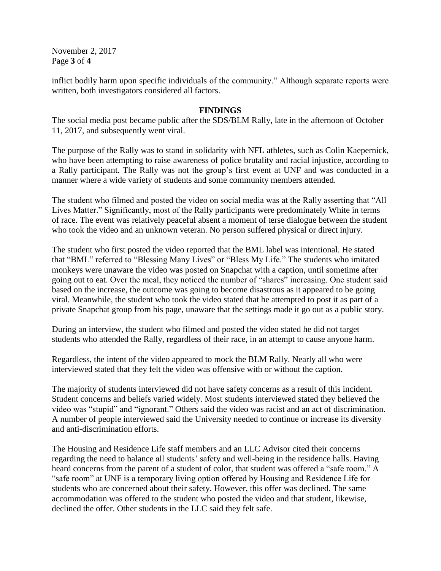November 2, 2017 Page **3** of **4**

inflict bodily harm upon specific individuals of the community." Although separate reports were written, both investigators considered all factors.

## **FINDINGS**

The social media post became public after the SDS/BLM Rally, late in the afternoon of October 11, 2017, and subsequently went viral.

The purpose of the Rally was to stand in solidarity with NFL athletes, such as Colin Kaepernick, who have been attempting to raise awareness of police brutality and racial injustice, according to a Rally participant. The Rally was not the group's first event at UNF and was conducted in a manner where a wide variety of students and some community members attended.

The student who filmed and posted the video on social media was at the Rally asserting that "All Lives Matter." Significantly, most of the Rally participants were predominately White in terms of race. The event was relatively peaceful absent a moment of terse dialogue between the student who took the video and an unknown veteran. No person suffered physical or direct injury.

The student who first posted the video reported that the BML label was intentional. He stated that "BML" referred to "Blessing Many Lives" or "Bless My Life." The students who imitated monkeys were unaware the video was posted on Snapchat with a caption, until sometime after going out to eat. Over the meal, they noticed the number of "shares" increasing. One student said based on the increase, the outcome was going to become disastrous as it appeared to be going viral. Meanwhile, the student who took the video stated that he attempted to post it as part of a private Snapchat group from his page, unaware that the settings made it go out as a public story.

During an interview, the student who filmed and posted the video stated he did not target students who attended the Rally, regardless of their race, in an attempt to cause anyone harm.

Regardless, the intent of the video appeared to mock the BLM Rally. Nearly all who were interviewed stated that they felt the video was offensive with or without the caption.

The majority of students interviewed did not have safety concerns as a result of this incident. Student concerns and beliefs varied widely. Most students interviewed stated they believed the video was "stupid" and "ignorant." Others said the video was racist and an act of discrimination. A number of people interviewed said the University needed to continue or increase its diversity and anti-discrimination efforts.

The Housing and Residence Life staff members and an LLC Advisor cited their concerns regarding the need to balance all students' safety and well-being in the residence halls. Having heard concerns from the parent of a student of color, that student was offered a "safe room." A "safe room" at UNF is a temporary living option offered by Housing and Residence Life for students who are concerned about their safety. However, this offer was declined. The same accommodation was offered to the student who posted the video and that student, likewise, declined the offer. Other students in the LLC said they felt safe.